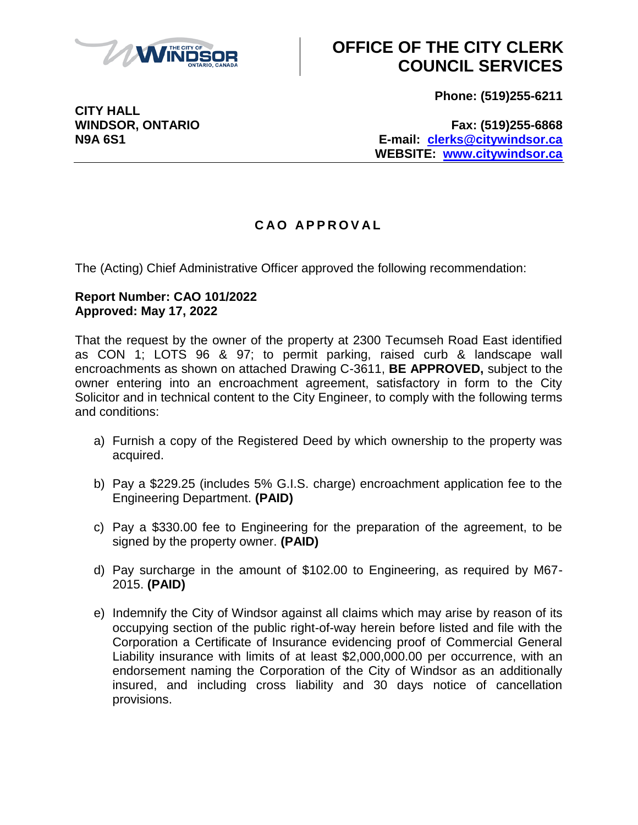

## **OFFICE OF THE CITY CLERK COUNCIL SERVICES**

**Phone: (519)255-6211**

**CITY HALL**

**WINDSOR, ONTARIO Fax: (519)255-6868 N9A 6S1 E-mail: [clerks@citywindsor.ca](mailto:clerks@citywindsor.ca) WEBSITE: [www.citywindsor.ca](http://www.citywindsor.ca/)**

### **C A O A P P R O V A L**

The (Acting) Chief Administrative Officer approved the following recommendation:

#### **Report Number: CAO 101/2022 Approved: May 17, 2022**

That the request by the owner of the property at 2300 Tecumseh Road East identified as CON 1; LOTS 96 & 97; to permit parking, raised curb & landscape wall encroachments as shown on attached Drawing C-3611, **BE APPROVED,** subject to the owner entering into an encroachment agreement, satisfactory in form to the City Solicitor and in technical content to the City Engineer, to comply with the following terms and conditions:

- a) Furnish a copy of the Registered Deed by which ownership to the property was acquired.
- b) Pay a \$229.25 (includes 5% G.I.S. charge) encroachment application fee to the Engineering Department. **(PAID)**
- c) Pay a \$330.00 fee to Engineering for the preparation of the agreement, to be signed by the property owner. **(PAID)**
- d) Pay surcharge in the amount of \$102.00 to Engineering, as required by M67- 2015. **(PAID)**
- e) Indemnify the City of Windsor against all claims which may arise by reason of its occupying section of the public right-of-way herein before listed and file with the Corporation a Certificate of Insurance evidencing proof of Commercial General Liability insurance with limits of at least \$2,000,000.00 per occurrence, with an endorsement naming the Corporation of the City of Windsor as an additionally insured, and including cross liability and 30 days notice of cancellation provisions.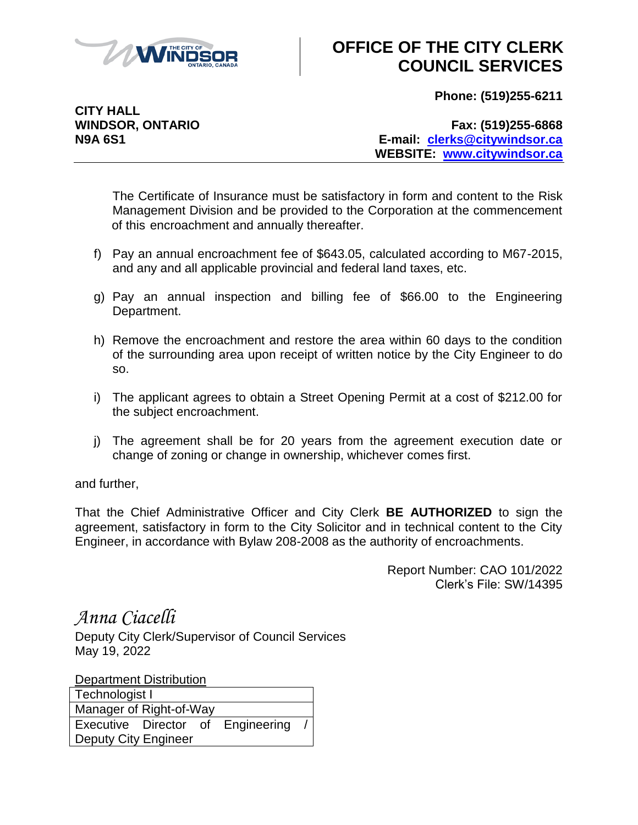

# **OFFICE OF THE CITY CLERK COUNCIL SERVICES**

**Phone: (519)255-6211**

**CITY HALL**

**WINDSOR, ONTARIO Fax: (519)255-6868 N9A 6S1 E-mail: [clerks@citywindsor.ca](mailto:clerks@citywindsor.ca) WEBSITE: [www.citywindsor.ca](http://www.citywindsor.ca/)**

The Certificate of Insurance must be satisfactory in form and content to the Risk Management Division and be provided to the Corporation at the commencement of this encroachment and annually thereafter.

- f) Pay an annual encroachment fee of \$643.05, calculated according to M67-2015, and any and all applicable provincial and federal land taxes, etc.
- g) Pay an annual inspection and billing fee of \$66.00 to the Engineering Department.
- h) Remove the encroachment and restore the area within 60 days to the condition of the surrounding area upon receipt of written notice by the City Engineer to do so.
- i) The applicant agrees to obtain a Street Opening Permit at a cost of \$212.00 for the subject encroachment.
- j) The agreement shall be for 20 years from the agreement execution date or change of zoning or change in ownership, whichever comes first.

and further,

That the Chief Administrative Officer and City Clerk **BE AUTHORIZED** to sign the agreement, satisfactory in form to the City Solicitor and in technical content to the City Engineer, in accordance with Bylaw 208-2008 as the authority of encroachments.

> Report Number: CAO 101/2022 Clerk's File: SW/14395

*Anna Ciacelli*

Deputy City Clerk/Supervisor of Council Services May 19, 2022

Department Distribution

| Technologist I              |  |  |                                   |  |  |  |  |
|-----------------------------|--|--|-----------------------------------|--|--|--|--|
| Manager of Right-of-Way     |  |  |                                   |  |  |  |  |
|                             |  |  | Executive Director of Engineering |  |  |  |  |
| <b>Deputy City Engineer</b> |  |  |                                   |  |  |  |  |